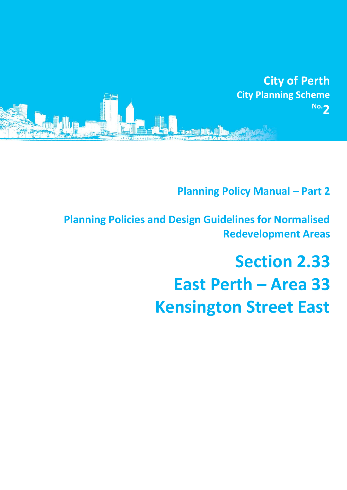

**Planning Policy Manual - Part 2** 

**Planning Policies and Design Guidelines for Normalised Redevelopment Areas**

# **Section 2.33 East Perth – Area 33 Kensington Street East**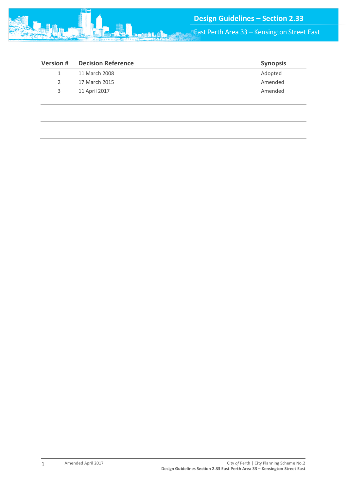

East Perth Area 33 – Kensington Street East

| <b>Version#</b> | <b>Decision Reference</b> | <b>Synopsis</b> |
|-----------------|---------------------------|-----------------|
|                 | 11 March 2008             | Adopted         |
| 2               | 17 March 2015             | Amended         |
| 3               | 11 April 2017             | Amended         |
|                 |                           |                 |
|                 |                           |                 |
|                 |                           |                 |
|                 |                           |                 |
|                 |                           |                 |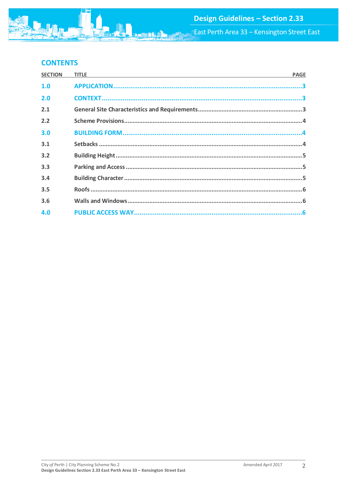# **CONTENTS**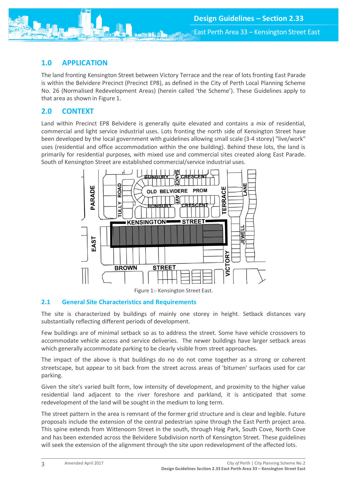<span id="page-3-0"></span>

The land fronting Kensington Street between Victory Terrace and the rear of lots fronting East Parade is within the Belvidere Precinct (Precinct EP8), as defined in the City of Perth Local Planning Scheme No. 26 (Normalised Redevelopment Areas) (herein called 'the Scheme'). These Guidelines apply to that area as shown in Figure 1.

# <span id="page-3-1"></span>**2.0 CONTEXT**

Land within Precinct EP8 Belvidere is generally quite elevated and contains a mix of residential, commercial and light service industrial uses. Lots fronting the north side of Kensington Street have been developed by the local government with guidelines allowing small scale (3-4 storey) "live/work" uses (residential and office accommodation within the one building). Behind these lots, the land is primarily for residential purposes, with mixed use and commercial sites created along East Parade. South of Kensington Street are established commercial/service industrial uses.



Figure 1:- Kensington Street East.

# <span id="page-3-2"></span>**2.1 General Site Characteristics and Requirements**

The site is characterized by buildings of mainly one storey in height. Setback distances vary substantially reflecting different periods of development.

Few buildings are of minimal setback so as to address the street. Some have vehicle crossovers to accommodate vehicle access and service deliveries. The newer buildings have larger setback areas which generally accommodate parking to be clearly visible from street approaches.

The impact of the above is that buildings do no do not come together as a strong or coherent streetscape, but appear to sit back from the street across areas of 'bitumen' surfaces used for car parking.

Given the site's varied built form, low intensity of development, and proximity to the higher value residential land adjacent to the river foreshore and parkland, it is anticipated that some redevelopment of the land will be sought in the medium to long term.

The street pattern in the area is remnant of the former grid structure and is clear and legible. Future proposals include the extension of the central pedestrian spine through the East Perth project area. This spine extends from Wittenoom Street in the south, through Haig Park, South Cove, North Cove and has been extended across the Belvidere Subdivision north of Kensington Street. These guidelines will seek the extension of the alignment through the site upon redevelopment of the affected lots.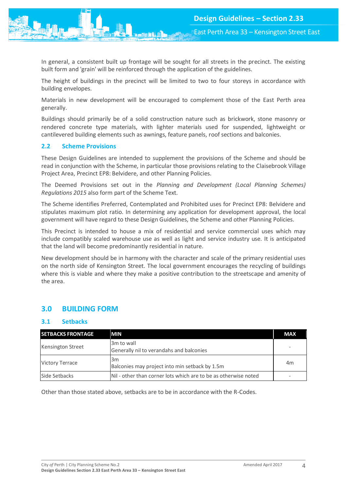In general, a consistent built up frontage will be sought for all streets in the precinct. The existing built form and 'grain' will be reinforced through the application of the guidelines.

The height of buildings in the precinct will be limited to two to four storeys in accordance with building envelopes.

Materials in new development will be encouraged to complement those of the East Perth area generally.

Buildings should primarily be of a solid construction nature such as brickwork, stone masonry or rendered concrete type materials, with lighter materials used for suspended, lightweight or cantilevered building elements such as awnings, feature panels, roof sections and balconies.

#### <span id="page-4-0"></span>**2.2 Scheme Provisions**

These Design Guidelines are intended to supplement the provisions of the Scheme and should be read in conjunction with the Scheme, in particular those provisions relating to the Claisebrook Village Project Area, Precinct EP8: Belvidere, and other Planning Policies.

The Deemed Provisions set out in the *Planning and Development (Local Planning Schemes) Regulations 2015* also form part of the Scheme Text.

The Scheme identifies Preferred, Contemplated and Prohibited uses for Precinct EP8: Belvidere and stipulates maximum plot ratio. In determining any application for development approval, the local government will have regard to these Design Guidelines, the Scheme and other Planning Policies.

This Precinct is intended to house a mix of residential and service commercial uses which may include compatibly scaled warehouse use as well as light and service industry use. It is anticipated that the land will become predominantly residential in nature.

New development should be in harmony with the character and scale of the primary residential uses on the north side of Kensington Street. The local government encourages the recycling of buildings where this is viable and where they make a positive contribution to the streetscape and amenity of the area.

# <span id="page-4-1"></span>**3.0 BUILDING FORM**

# <span id="page-4-2"></span>**3.1 Setbacks**

| <b>SETBACKS FRONTAGE</b> | <b>MIN</b>                                                      | <b>MAX</b> |  |
|--------------------------|-----------------------------------------------------------------|------------|--|
| <b>Kensington Street</b> | 3m to wall                                                      |            |  |
|                          | Generally nil to verandahs and balconies                        |            |  |
| <b>Victory Terrace</b>   | 3m                                                              | 4m         |  |
|                          | Balconies may project into min setback by 1.5m                  |            |  |
| Side Setbacks            | Nil - other than corner lots which are to be as otherwise noted |            |  |

Other than those stated above, setbacks are to be in accordance with the R-Codes.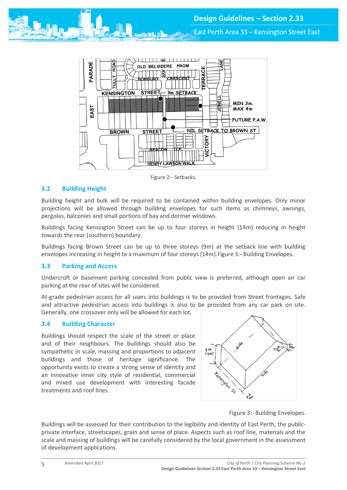East Perth Area 33 – Kensington Street East



Figure 2:- Setbacks.

# <span id="page-5-0"></span>**3.2 Building Height**

Building height and bulk will be required to be contained within building envelopes. Only minor projections will be allowed through building envelopes for such items as chimneys, awnings, pergolas, balconies and small portions of bay and dormer windows.

Buildings facing Kensington Street can be up to four storeys in height (14m) reducing in height towards the rear (southern) boundary.

Buildings facing Brown Street can be up to three storeys (9m) at the setback line with building envelopes increasing in height to a maximum of four storeys (14m).Figure 3:- Building Envelopes.

#### <span id="page-5-1"></span>**3.3 Parking and Access**

Undercroft or basement parking concealed from public view is preferred, although open air car parking at the rear of sites will be considered.

At-grade pedestrian access for all users into buildings is to be provided from Street frontages. Safe and attractive pedestrian access into buildings is also to be provided from any car park on site. Generally, one crossover only will be allowed for each lot.

#### <span id="page-5-2"></span>**3.4 Building Character**

Buildings should respect the scale of the street or place and of their neighbours. The buildings should also be sympathetic in scale, massing and proportions to adjacent buildings and those of heritage significance. The opportunity exists to create a strong sense of identity and an innovative inner city style of residential, commercial and mixed use development with interesting facade treatments and roof lines.



Figure 3:- Building Envelopes.

Buildings will be assessed for their contribution to the legibility and identity of East Perth, the publicprivate interface, streetscapes, grain and sense of place. Aspects such as roof line, materials and the scale and massing of buildings will be carefully considered by the local government in the assessment of development applications.